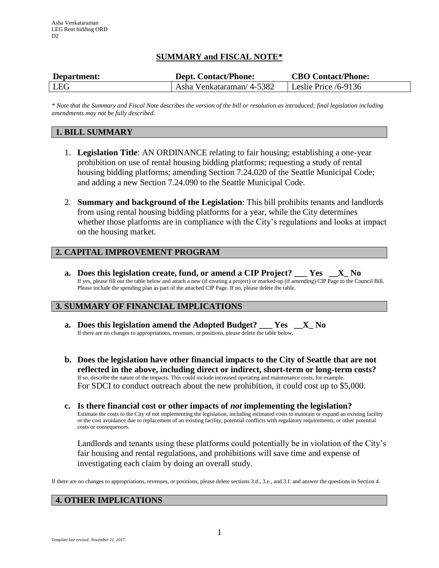# **SUMMARY and FISCAL NOTE\***

| Department: | <b>Dept. Contact/Phone:</b>                         | <b>CBO Contact/Phone:</b> |
|-------------|-----------------------------------------------------|---------------------------|
| <b>LEG</b>  | Asha Venkataraman/ 4-5382   Leslie Price $/6$ -9136 |                           |

*\* Note that the Summary and Fiscal Note describes the version of the bill or resolution as introduced; final legislation including amendments may not be fully described.*

# **1. BILL SUMMARY**

- 1. **Legislation Title**: AN ORDINANCE relating to fair housing; establishing a one-year prohibition on use of rental housing bidding platforms; requesting a study of rental housing bidding platforms; amending Section 7.24.020 of the Seattle Municipal Code; and adding a new Section 7.24.090 to the Seattle Municipal Code.
- 2. **Summary and background of the Legislation**: This bill prohibits tenants and landlords from using rental housing bidding platforms for a year, while the City determines whether those platforms are in compliance with the City's regulations and looks at impact on the housing market.

# **2. CAPITAL IMPROVEMENT PROGRAM**

**a. Does this legislation create, fund, or amend a CIP Project? \_\_\_ Yes \_\_X\_ No** If yes, please fill out the table below and attach a new (if creating a project) or marked-up (if amending) CIP Page to the Council Bill. Please include the spending plan as part of the attached CIP Page. If no, please delete the table.

## **3. SUMMARY OF FINANCIAL IMPLICATIONS**

- **a. Does this legislation amend the Adopted Budget? \_\_\_ Yes \_\_X\_ No** If there are no changes to appropriations, revenues, or positions, please delete the table below.
- **b. Does the legislation have other financial impacts to the City of Seattle that are not reflected in the above, including direct or indirect, short-term or long-term costs?** If so, describe the nature of the impacts. This could include increased operating and maintenance costs, for example. For SDCI to conduct outreach about the new prohibition, it could cost up to \$5,000.
- **c. Is there financial cost or other impacts of** *not* **implementing the legislation?** Estimate the costs to the City of not implementing the legislation, including estimated costs to maintain or expand an existing facility or the cost avoidance due to replacement of an existing facility, potential conflicts with regulatory requirements, or other potential costs or consequences.

Landlords and tenants using these platforms could potentially be in violation of the City's fair housing and rental regulations, and prohibitions will save time and expense of investigating each claim by doing an overall study.

If there are no changes to appropriations, revenues, or positions, please delete sections 3.d., 3.e., and 3.f. and answer the questions in Section 4.

## **4. OTHER IMPLICATIONS**